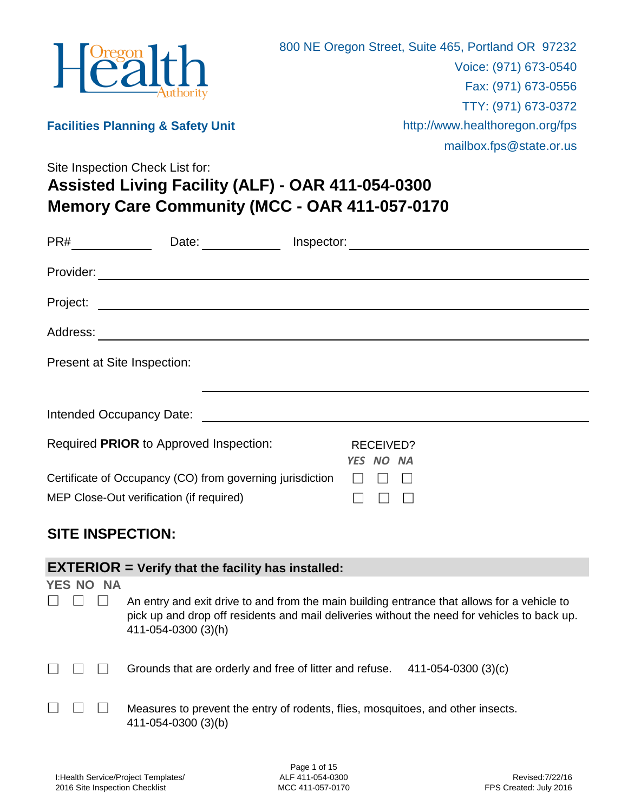

**Facilities Planning & Safety Unit**

mailbox.fps@state.or.us

**Memory Care Community (MCC - OAR 411-057-0170 Assisted Living Facility (ALF) - OAR 411-054-0300** Site Inspection Check List for:

| PR#<br>Date:                                                                                          | Inspector:                    |
|-------------------------------------------------------------------------------------------------------|-------------------------------|
| Provider:<br><u> 1989 - John Stein, Amerikaansk politiker (* 1908)</u>                                |                               |
| Project:<br><u> 1989 - Andrea Stadt Britain, amerikansk politik (d. 1989)</u>                         |                               |
| Address:<br><u> 1989 - John Stein, Amerikaansk politiker (</u>                                        |                               |
| Present at Site Inspection:                                                                           |                               |
|                                                                                                       |                               |
| Intended Occupancy Date:                                                                              |                               |
| Required PRIOR to Approved Inspection:                                                                | <b>RECEIVED?</b><br>YES NO NA |
| Certificate of Occupancy (CO) from governing jurisdiction<br>MEP Close-Out verification (if required) |                               |

### **SITE INSPECTION:**

|               |           | <b>EXTERIOR</b> = Verify that the facility has installed:                                                                                                                                                          |
|---------------|-----------|--------------------------------------------------------------------------------------------------------------------------------------------------------------------------------------------------------------------|
| <b>YES NO</b> | <b>NA</b> |                                                                                                                                                                                                                    |
|               |           | An entry and exit drive to and from the main building entrance that allows for a vehicle to<br>pick up and drop off residents and mail deliveries without the need for vehicles to back up.<br>411-054-0300 (3)(h) |
|               |           | Grounds that are orderly and free of litter and refuse.<br>411-054-0300 (3)(c)                                                                                                                                     |
|               |           | Measures to prevent the entry of rodents, flies, mosquitoes, and other insects.<br>411-054-0300 (3)(b)                                                                                                             |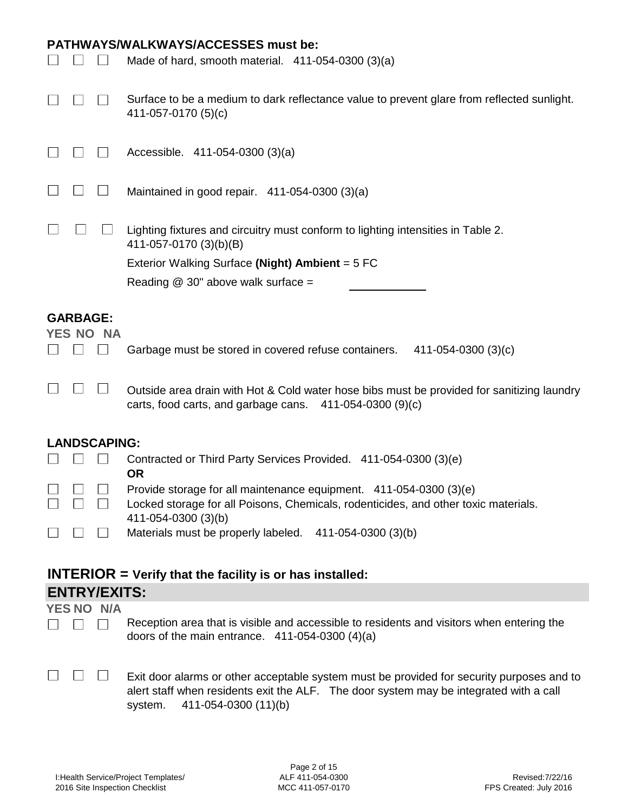|                                        | <b>PATHWAYS/WALKWAYS/ACCESSES must be:</b><br>Made of hard, smooth material. $411-054-0300(3)(a)$                                                      |  |
|----------------------------------------|--------------------------------------------------------------------------------------------------------------------------------------------------------|--|
|                                        | Surface to be a medium to dark reflectance value to prevent glare from reflected sunlight.<br>411-057-0170 (5)(c)                                      |  |
|                                        | Accessible. 411-054-0300 (3)(a)                                                                                                                        |  |
|                                        | Maintained in good repair. 411-054-0300 (3)(a)                                                                                                         |  |
|                                        | Lighting fixtures and circuitry must conform to lighting intensities in Table 2.<br>411-057-0170 (3)(b)(B)                                             |  |
|                                        | Exterior Walking Surface (Night) Ambient = 5 FC                                                                                                        |  |
|                                        | Reading $@$ 30" above walk surface =                                                                                                                   |  |
| <b>GARBAGE:</b><br>YES NO<br><b>NA</b> |                                                                                                                                                        |  |
|                                        | Garbage must be stored in covered refuse containers.<br>$411 - 054 - 0300(3)(c)$                                                                       |  |
|                                        | Outside area drain with Hot & Cold water hose bibs must be provided for sanitizing laundry<br>carts, food carts, and garbage cans. 411-054-0300 (9)(c) |  |
| <b>LANDSCAPING:</b>                    |                                                                                                                                                        |  |

|                                                              | EANDOUAL ING.                                                                       |  |
|--------------------------------------------------------------|-------------------------------------------------------------------------------------|--|
| 11 11 11                                                     | Contracted or Third Party Services Provided. 411-054-0300 (3)(e)                    |  |
|                                                              | 0R                                                                                  |  |
| <u>LI LI LI </u>                                             | Provide storage for all maintenance equipment. 411-054-0300 (3)(e)                  |  |
| $\begin{array}{ccc} \square & \square & \square \end{array}$ | Locked storage for all Poisons, Chemicals, rodenticides, and other toxic materials. |  |
|                                                              | 411-054-0300 (3)(b)                                                                 |  |
|                                                              |                                                                                     |  |
| П П П                                                        | Materials must be properly labeled. 411-054-0300 (3)(b)                             |  |
|                                                              |                                                                                     |  |

| $INTERIOR = Verify that the facility is or has installed:$ |  |
|------------------------------------------------------------|--|
| <b>ENTRY/EXITS:</b>                                        |  |

#### **YES NO N/A**

- Reception area that is visible and accessible to residents and visitors when entering the  $\begin{array}{ccc} \square & \square & \square \end{array}$ doors of the main entrance. 411-054-0300 (4)(a)
- $\begin{array}{ccc} \square & \square & \square \end{array}$ 
	- Exit door alarms or other acceptable system must be provided for security purposes and to alert staff when residents exit the ALF. The door system may be integrated with a call system. 411-054-0300 (11)(b)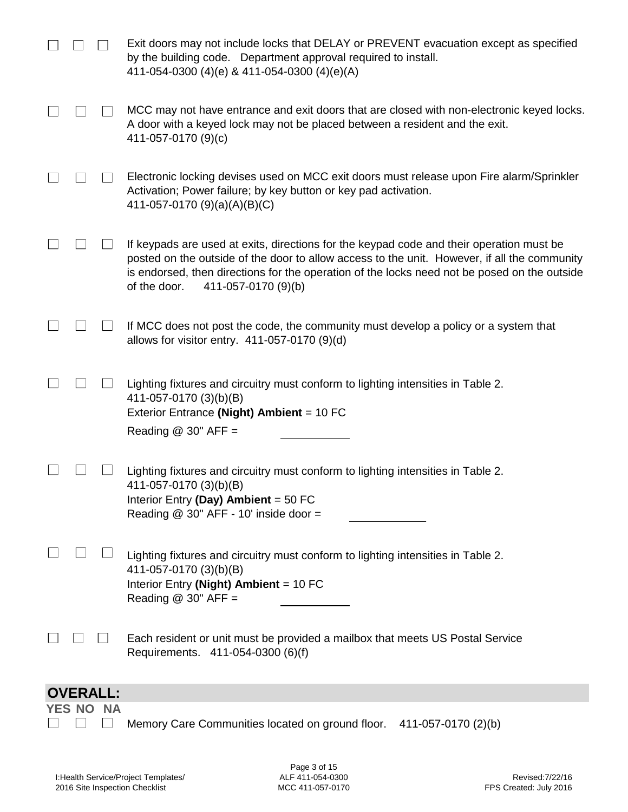|                 |           | Exit doors may not include locks that DELAY or PREVENT evacuation except as specified<br>by the building code. Department approval required to install.<br>411-054-0300 (4)(e) & 411-054-0300 (4)(e)(A)                                                                                                                         |
|-----------------|-----------|---------------------------------------------------------------------------------------------------------------------------------------------------------------------------------------------------------------------------------------------------------------------------------------------------------------------------------|
|                 |           | MCC may not have entrance and exit doors that are closed with non-electronic keyed locks.<br>A door with a keyed lock may not be placed between a resident and the exit.<br>411-057-0170 (9)(c)                                                                                                                                 |
|                 |           | Electronic locking devises used on MCC exit doors must release upon Fire alarm/Sprinkler<br>Activation; Power failure; by key button or key pad activation.<br>411-057-0170 (9)(a)(A)(B)(C)                                                                                                                                     |
|                 |           | If keypads are used at exits, directions for the keypad code and their operation must be<br>posted on the outside of the door to allow access to the unit. However, if all the community<br>is endorsed, then directions for the operation of the locks need not be posed on the outside<br>of the door.<br>411-057-0170 (9)(b) |
|                 |           | If MCC does not post the code, the community must develop a policy or a system that<br>allows for visitor entry. $411-057-0170(9)(d)$                                                                                                                                                                                           |
|                 |           | Lighting fixtures and circuitry must conform to lighting intensities in Table 2.<br>411-057-0170 (3)(b)(B)<br>Exterior Entrance (Night) Ambient = 10 FC<br>Reading $@30"$ AFF =                                                                                                                                                 |
|                 |           | Lighting fixtures and circuitry must conform to lighting intensities in Table 2.<br>411-057-0170 (3)(b)(B)<br>Interior Entry (Day) Ambient = $50$ FC<br>Reading $@$ 30" AFF - 10' inside door =                                                                                                                                 |
|                 |           | Lighting fixtures and circuitry must conform to lighting intensities in Table 2.<br>411-057-0170 (3)(b)(B)<br>Interior Entry (Night) Ambient = 10 FC<br>Reading $@30"$ AFF =                                                                                                                                                    |
|                 |           | Each resident or unit must be provided a mailbox that meets US Postal Service<br>Requirements. 411-054-0300 (6)(f)                                                                                                                                                                                                              |
| <b>OVERALL:</b> |           |                                                                                                                                                                                                                                                                                                                                 |
| YES NO          | <b>NA</b> | Memory Care Communities located on ground floor. 411-057-0170 (2)(b)                                                                                                                                                                                                                                                            |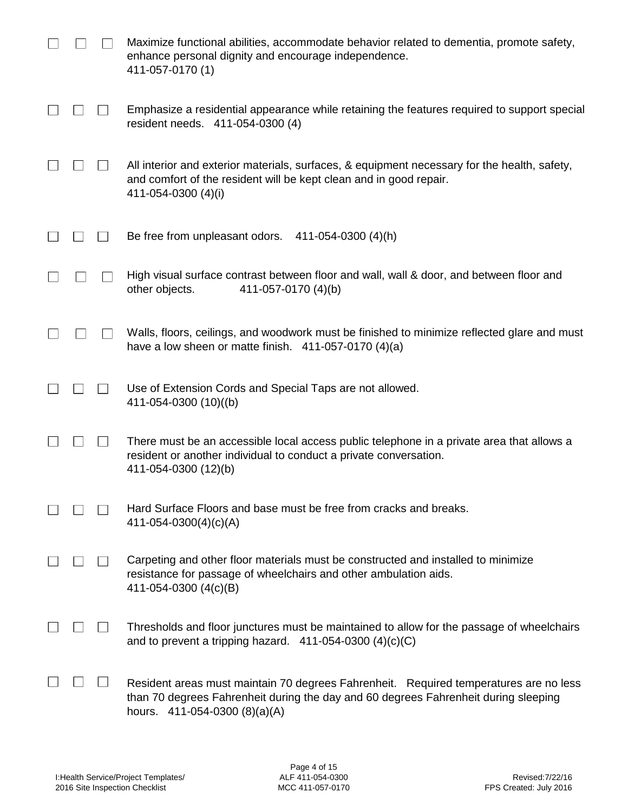|  | Maximize functional abilities, accommodate behavior related to dementia, promote safety,<br>enhance personal dignity and encourage independence.<br>411-057-0170 (1)                                          |
|--|---------------------------------------------------------------------------------------------------------------------------------------------------------------------------------------------------------------|
|  | Emphasize a residential appearance while retaining the features required to support special<br>resident needs. 411-054-0300 (4)                                                                               |
|  | All interior and exterior materials, surfaces, & equipment necessary for the health, safety,<br>and comfort of the resident will be kept clean and in good repair.<br>411-054-0300 (4)(i)                     |
|  | Be free from unpleasant odors.<br>411-054-0300 (4)(h)                                                                                                                                                         |
|  | High visual surface contrast between floor and wall, wall & door, and between floor and<br>other objects.<br>411-057-0170 (4)(b)                                                                              |
|  | Walls, floors, ceilings, and woodwork must be finished to minimize reflected glare and must<br>have a low sheen or matte finish. $411-057-0170(4)(a)$                                                         |
|  | Use of Extension Cords and Special Taps are not allowed.<br>411-054-0300 (10)((b)                                                                                                                             |
|  | There must be an accessible local access public telephone in a private area that allows a<br>resident or another individual to conduct a private conversation.<br>411-054-0300 (12)(b)                        |
|  | Hard Surface Floors and base must be free from cracks and breaks.<br>$411 - 054 - 0300(4)(c)(A)$                                                                                                              |
|  | Carpeting and other floor materials must be constructed and installed to minimize<br>resistance for passage of wheelchairs and other ambulation aids.<br>411-054-0300 (4(c)(B)                                |
|  | Thresholds and floor junctures must be maintained to allow for the passage of wheelchairs<br>and to prevent a tripping hazard. $411-054-0300$ (4)(c)(C)                                                       |
|  | Resident areas must maintain 70 degrees Fahrenheit. Required temperatures are no less<br>than 70 degrees Fahrenheit during the day and 60 degrees Fahrenheit during sleeping<br>hours. 411-054-0300 (8)(a)(A) |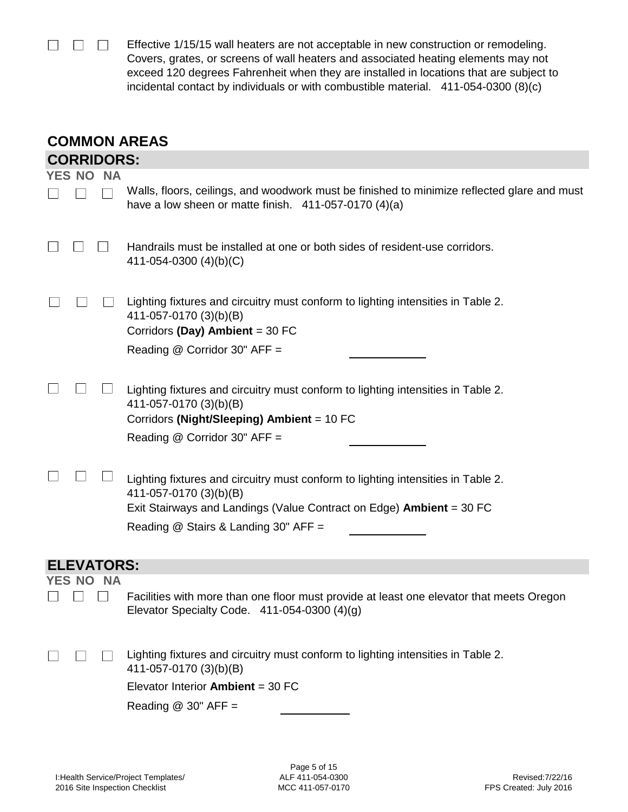$\begin{array}{ccc} \square & \square & \square \end{array}$ Effective 1/15/15 wall heaters are not acceptable in new construction or remodeling. Covers, grates, or screens of wall heaters and associated heating elements may not exceed 120 degrees Fahrenheit when they are installed in locations that are subject to incidental contact by individuals or with combustible material. 411-054-0300 (8)(c)

| <b>COMMON AREAS</b>        |                                                                                                                                                                                                                                   |  |  |
|----------------------------|-----------------------------------------------------------------------------------------------------------------------------------------------------------------------------------------------------------------------------------|--|--|
|                            | <b>CORRIDORS:</b>                                                                                                                                                                                                                 |  |  |
| <b>YES NO</b><br><b>NA</b> | Walls, floors, ceilings, and woodwork must be finished to minimize reflected glare and must<br>have a low sheen or matte finish. $411-057-0170(4)(a)$                                                                             |  |  |
|                            | Handrails must be installed at one or both sides of resident-use corridors.<br>411-054-0300 $(4)(b)(C)$                                                                                                                           |  |  |
|                            | Lighting fixtures and circuitry must conform to lighting intensities in Table 2.<br>411-057-0170 (3)(b)(B)<br>Corridors (Day) Ambient = 30 FC<br>Reading @ Corridor 30" AFF =                                                     |  |  |
|                            | Lighting fixtures and circuitry must conform to lighting intensities in Table 2.<br>411-057-0170 (3)(b)(B)<br>Corridors (Night/Sleeping) Ambient = 10 FC<br>Reading @ Corridor 30" AFF =                                          |  |  |
|                            | Lighting fixtures and circuitry must conform to lighting intensities in Table 2.<br>411-057-0170 (3)(b)(B)<br>Exit Stairways and Landings (Value Contract on Edge) <b>Ambient</b> = 30 FC<br>Reading @ Stairs & Landing 30" AFF = |  |  |
| <b>ELEVATORS:</b>          |                                                                                                                                                                                                                                   |  |  |
| YES NO<br><b>NA</b>        |                                                                                                                                                                                                                                   |  |  |
|                            | Facilities with more than one floor must provide at least one elevator that meets Oregon<br>Elevator Specialty Code. $411-054-0300(4)(g)$                                                                                         |  |  |
|                            | Lighting fixtures and circuitry must conform to lighting intensities in Table 2.<br>411-057-0170 (3)(b)(B)                                                                                                                        |  |  |
|                            | Elevator Interior Ambient = $30$ FC                                                                                                                                                                                               |  |  |
|                            | Reading $@$ 30" AFF =                                                                                                                                                                                                             |  |  |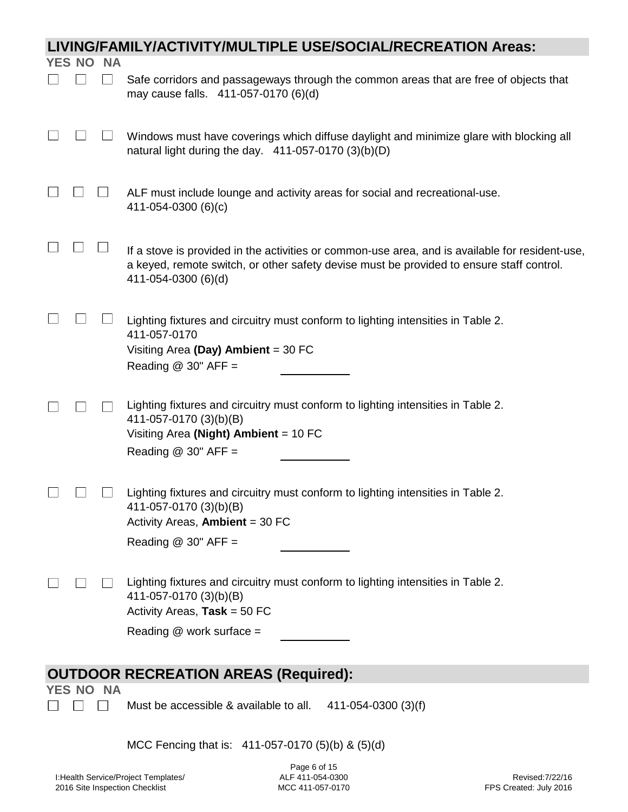| YES NO | <b>NA</b> |                                                                                                                                                                                                                    |
|--------|-----------|--------------------------------------------------------------------------------------------------------------------------------------------------------------------------------------------------------------------|
|        |           |                                                                                                                                                                                                                    |
|        |           | Safe corridors and passageways through the common areas that are free of objects that<br>may cause falls. 411-057-0170 (6)(d)                                                                                      |
|        |           | Windows must have coverings which diffuse daylight and minimize glare with blocking all<br>natural light during the day. $411-057-0170(3)(b)(D)$                                                                   |
|        |           | ALF must include lounge and activity areas for social and recreational-use.<br>411-054-0300 (6)(c)                                                                                                                 |
|        |           | If a stove is provided in the activities or common-use area, and is available for resident-use,<br>a keyed, remote switch, or other safety devise must be provided to ensure staff control.<br>411-054-0300 (6)(d) |
|        |           | Lighting fixtures and circuitry must conform to lighting intensities in Table 2.<br>411-057-0170<br>Visiting Area (Day) Ambient = $30$ FC<br>Reading $@$ 30" AFF =                                                 |
|        |           | Lighting fixtures and circuitry must conform to lighting intensities in Table 2.<br>411-057-0170 (3)(b)(B)<br>Visiting Area (Night) Ambient = $10$ FC<br>Reading $@30"$ AFF =                                      |
|        |           | Lighting fixtures and circuitry must conform to lighting intensities in Table 2.<br>411-057-0170 (3)(b)(B)<br>Activity Areas, Ambient = 30 FC<br>Reading $@$ 30" AFF =                                             |
|        |           | Lighting fixtures and circuitry must conform to lighting intensities in Table 2.<br>411-057-0170 (3)(b)(B)<br>Activity Areas, Task = $50$ FC<br>Reading @ work surface =                                           |
|        |           |                                                                                                                                                                                                                    |
| YES NO | <b>NA</b> | <b>OUTDOOR RECREATION AREAS (Required):</b>                                                                                                                                                                        |
|        |           | Must be accessible & available to all.<br>411-054-0300 (3)(f)                                                                                                                                                      |

MCC Fencing that is: 411-057-0170 (5)(b) & (5)(d)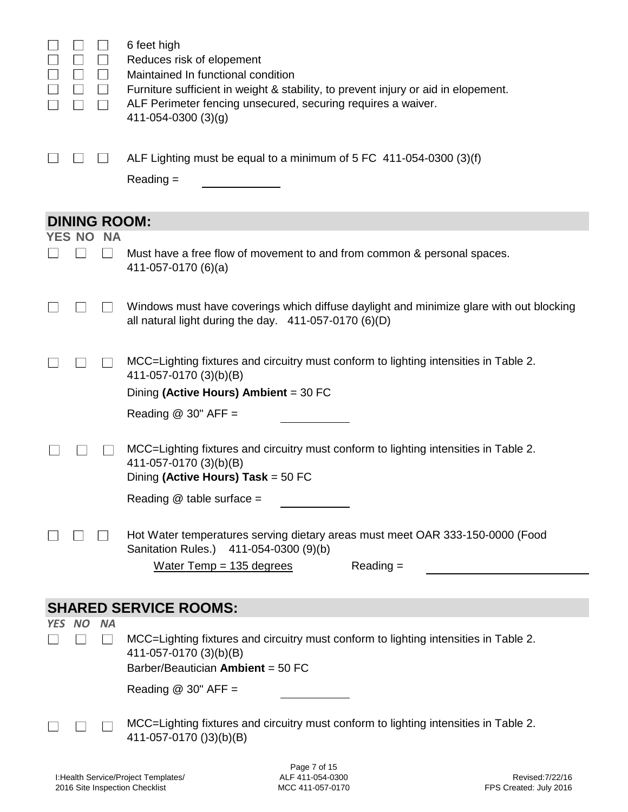|     | $\Box$    | $\Box$              | 6 feet high<br>Reduces risk of elopement<br>Maintained In functional condition<br>Furniture sufficient in weight & stability, to prevent injury or aid in elopement. |
|-----|-----------|---------------------|----------------------------------------------------------------------------------------------------------------------------------------------------------------------|
|     |           | $\perp$             | ALF Perimeter fencing unsecured, securing requires a waiver.<br>$411 - 054 - 0300(3)(g)$                                                                             |
|     |           |                     | ALF Lighting must be equal to a minimum of $5$ FC 411-054-0300 (3)(f)<br>$Reading =$                                                                                 |
|     |           |                     |                                                                                                                                                                      |
|     |           | <b>DINING ROOM:</b> |                                                                                                                                                                      |
|     | YES NO    | <b>NA</b>           |                                                                                                                                                                      |
|     |           |                     | Must have a free flow of movement to and from common & personal spaces.<br>411-057-0170 (6)(a)                                                                       |
|     |           |                     | Windows must have coverings which diffuse daylight and minimize glare with out blocking<br>all natural light during the day. 411-057-0170 (6)(D)                     |
|     |           |                     | MCC=Lighting fixtures and circuitry must conform to lighting intensities in Table 2.<br>411-057-0170 (3)(b)(B)<br>Dining (Active Hours) Ambient = 30 FC              |
|     |           |                     |                                                                                                                                                                      |
|     |           |                     | Reading $@$ 30" AFF =                                                                                                                                                |
|     |           |                     | MCC=Lighting fixtures and circuitry must conform to lighting intensities in Table 2.<br>411-057-0170 (3)(b)(B)<br>Dining (Active Hours) Task = 50 FC                 |
|     |           |                     | Reading @ table surface =                                                                                                                                            |
|     |           |                     |                                                                                                                                                                      |
|     |           |                     | Hot Water temperatures serving dietary areas must meet OAR 333-150-0000 (Food<br>Sanitation Rules.) 411-054-0300 (9)(b)                                              |
|     |           |                     | Water Temp = $135$ degrees<br>$Reading =$                                                                                                                            |
|     |           |                     |                                                                                                                                                                      |
|     |           |                     | <b>SHARED SERVICE ROOMS:</b>                                                                                                                                         |
| YES | <b>NO</b> | <b>NA</b>           |                                                                                                                                                                      |
|     |           |                     | MCC=Lighting fixtures and circuitry must conform to lighting intensities in Table 2.<br>411-057-0170 (3)(b)(B)<br>Barber/Beautician Ambient = 50 FC                  |
|     |           |                     | Reading $@$ 30" AFF =                                                                                                                                                |
|     |           |                     |                                                                                                                                                                      |
|     |           |                     | MCC=Lighting fixtures and circuitry must conform to lighting intensities in Table 2.<br>411-057-0170 ()3)(b)(B)                                                      |
|     |           |                     | Page 7 of 15                                                                                                                                                         |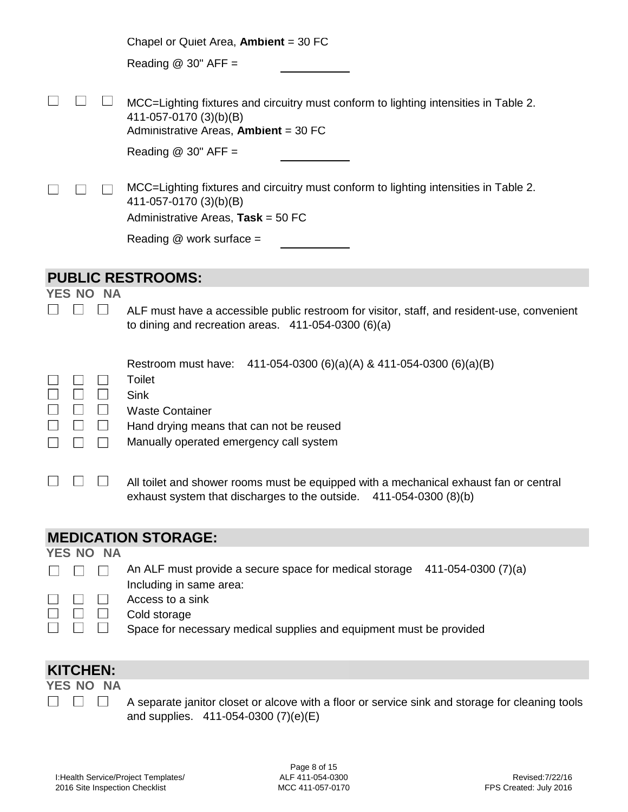|                            | Chapel or Quiet Area, Ambient = $30$ FC                                                                                                                        |  |
|----------------------------|----------------------------------------------------------------------------------------------------------------------------------------------------------------|--|
|                            | Reading $@$ 30" AFF =                                                                                                                                          |  |
|                            |                                                                                                                                                                |  |
|                            | MCC=Lighting fixtures and circuitry must conform to lighting intensities in Table 2.<br>411-057-0170 (3)(b)(B)<br>Administrative Areas, Ambient = 30 FC        |  |
|                            | Reading $@$ 30" AFF =                                                                                                                                          |  |
|                            | MCC=Lighting fixtures and circuitry must conform to lighting intensities in Table 2.<br>411-057-0170 (3)(b)(B)<br>Administrative Areas, Task = 50 FC           |  |
|                            | Reading @ work surface =                                                                                                                                       |  |
|                            |                                                                                                                                                                |  |
| <b>NA</b><br>YES NO        | <b>PUBLIC RESTROOMS:</b>                                                                                                                                       |  |
|                            | ALF must have a accessible public restroom for visitor, staff, and resident-use, convenient<br>to dining and recreation areas. $411-054-0300(6)(a)$            |  |
|                            | Restroom must have: 411-054-0300 (6)(a)(A) & 411-054-0300 (6)(a)(B)<br><b>Toilet</b><br><b>Sink</b>                                                            |  |
|                            | <b>Waste Container</b>                                                                                                                                         |  |
| $\Box$                     | Hand drying means that can not be reused<br>Manually operated emergency call system                                                                            |  |
|                            |                                                                                                                                                                |  |
|                            | All toilet and shower rooms must be equipped with a mechanical exhaust fan or central<br>exhaust system that discharges to the outside.<br>411-054-0300 (8)(b) |  |
| <b>MEDICATION STORAGE:</b> |                                                                                                                                                                |  |
| YES NO<br><b>NA</b>        | An ALF must provide a secure space for medical storage<br>$411 - 054 - 0300(7)(a)$                                                                             |  |
|                            | Including in same area:                                                                                                                                        |  |
|                            | Access to a sink<br>Cold storage                                                                                                                               |  |
|                            | Space for necessary medical supplies and equipment must be provided                                                                                            |  |

## **KITCHEN:**

#### **YES NO NA**  $\begin{array}{ccc} \square & \square & \square \end{array}$

A separate janitor closet or alcove with a floor or service sink and storage for cleaning tools and supplies. 411-054-0300 (7)(e)(E)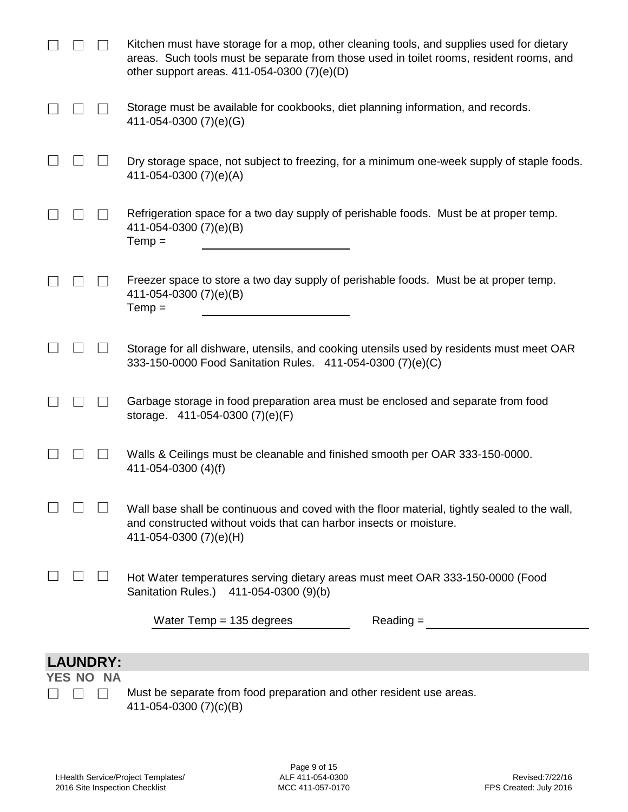|                 | Kitchen must have storage for a mop, other cleaning tools, and supplies used for dietary<br>areas. Such tools must be separate from those used in toilet rooms, resident rooms, and<br>other support areas. 411-054-0300 (7)(e)(D) |
|-----------------|------------------------------------------------------------------------------------------------------------------------------------------------------------------------------------------------------------------------------------|
|                 | Storage must be available for cookbooks, diet planning information, and records.<br>411-054-0300 (7)(e)(G)                                                                                                                         |
|                 | Dry storage space, not subject to freezing, for a minimum one-week supply of staple foods.<br>411-054-0300 (7)(e)(A)                                                                                                               |
|                 | Refrigeration space for a two day supply of perishable foods. Must be at proper temp.<br>411-054-0300 (7)(e)(B)<br>$Temp =$                                                                                                        |
|                 | Freezer space to store a two day supply of perishable foods. Must be at proper temp.<br>411-054-0300 (7)(e)(B)<br>$Temp =$                                                                                                         |
|                 | Storage for all dishware, utensils, and cooking utensils used by residents must meet OAR<br>333-150-0000 Food Sanitation Rules. 411-054-0300 (7)(e)(C)                                                                             |
|                 | Garbage storage in food preparation area must be enclosed and separate from food<br>storage. 411-054-0300 (7)(e)(F)                                                                                                                |
|                 | Walls & Ceilings must be cleanable and finished smooth per OAR 333-150-0000.<br>411-054-0300 (4)(f)                                                                                                                                |
|                 | Wall base shall be continuous and coved with the floor material, tightly sealed to the wall,<br>and constructed without voids that can harbor insects or moisture.<br>411-054-0300 (7)(e)(H)                                       |
|                 | Hot Water temperatures serving dietary areas must meet OAR 333-150-0000 (Food<br>Sanitation Rules.) 411-054-0300 (9)(b)                                                                                                            |
|                 | Water Temp = $135$ degrees<br>$Reading =$                                                                                                                                                                                          |
| <b>LAUNDRY:</b> |                                                                                                                                                                                                                                    |

# **LAUNDRY:**

**YES NO NA**  $\begin{array}{ccc} \square & \square & \square \end{array}$ 

Must be separate from food preparation and other resident use areas. 411-054-0300 (7)(c)(B)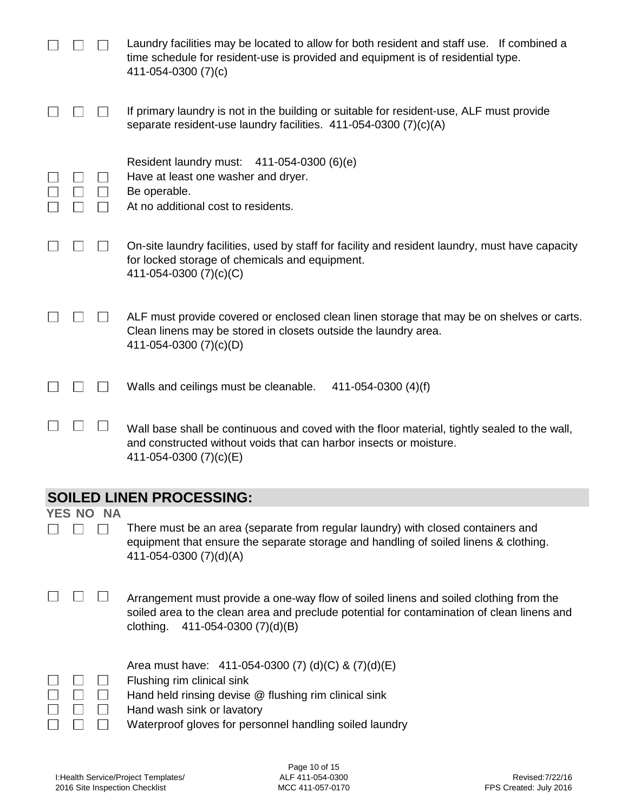|               |           | Laundry facilities may be located to allow for both resident and staff use. If combined a<br>time schedule for resident-use is provided and equipment is of residential type.<br>411-054-0300 (7)(c)                                |
|---------------|-----------|-------------------------------------------------------------------------------------------------------------------------------------------------------------------------------------------------------------------------------------|
|               |           | If primary laundry is not in the building or suitable for resident-use, ALF must provide<br>separate resident-use laundry facilities. 411-054-0300 (7)(c)(A)                                                                        |
|               |           | Resident laundry must: 411-054-0300 (6)(e)<br>Have at least one washer and dryer.<br>Be operable.<br>At no additional cost to residents.                                                                                            |
|               |           | On-site laundry facilities, used by staff for facility and resident laundry, must have capacity<br>for locked storage of chemicals and equipment.<br>411-054-0300 (7)(c)(C)                                                         |
|               |           | ALF must provide covered or enclosed clean linen storage that may be on shelves or carts.<br>Clean linens may be stored in closets outside the laundry area.<br>411-054-0300 (7)(c)(D)                                              |
|               |           | Walls and ceilings must be cleanable.<br>411-054-0300 $(4)(f)$                                                                                                                                                                      |
|               |           | Wall base shall be continuous and coved with the floor material, tightly sealed to the wall,<br>and constructed without voids that can harbor insects or moisture.<br>411-054-0300 (7)(c)(E)                                        |
|               |           | <b>SOILED LINEN PROCESSING:</b>                                                                                                                                                                                                     |
| <b>YES NO</b> | <b>NA</b> |                                                                                                                                                                                                                                     |
|               |           | There must be an area (separate from regular laundry) with closed containers and<br>equipment that ensure the separate storage and handling of soiled linens & clothing.<br>411-054-0300 (7)(d)(A)                                  |
|               |           | Arrangement must provide a one-way flow of soiled linens and soiled clothing from the<br>soiled area to the clean area and preclude potential for contamination of clean linens and<br>clothing.<br>411-054-0300 (7)(d)(B)          |
|               |           | Area must have: 411-054-0300 (7) (d)(C) & (7)(d)(E)<br>Flushing rim clinical sink<br>Hand held rinsing devise @ flushing rim clinical sink<br>Hand wash sink or lavatory<br>Waterproof gloves for personnel handling soiled laundry |
|               |           |                                                                                                                                                                                                                                     |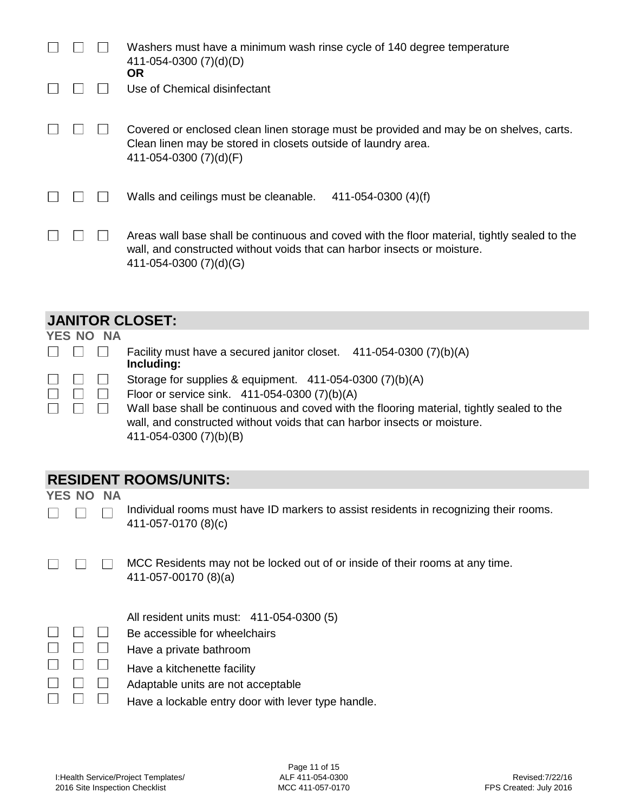|  | Washers must have a minimum wash rinse cycle of 140 degree temperature<br>411-054-0300 (7)(d)(D)<br><b>OR</b>                                                                                      |
|--|----------------------------------------------------------------------------------------------------------------------------------------------------------------------------------------------------|
|  | Use of Chemical disinfectant                                                                                                                                                                       |
|  | Covered or enclosed clean linen storage must be provided and may be on shelves, carts.<br>Clean linen may be stored in closets outside of laundry area.<br>411-054-0300 (7)(d)(F)                  |
|  | Walls and ceilings must be cleanable.<br>$411 - 054 - 0300$ (4)(f)                                                                                                                                 |
|  | Areas wall base shall be continuous and coved with the floor material, tightly sealed to the<br>wall, and constructed without voids that can harbor insects or moisture.<br>411-054-0300 (7)(d)(G) |

#### **JANITOR CLOSET:**

|                               | YES NO NA     |                                                                                   |
|-------------------------------|---------------|-----------------------------------------------------------------------------------|
|                               |               | Facility must have a secured janitor closet. 411-054-0300 (7)(b)(A)<br>Including: |
|                               |               | Storage for supplies & equipment. 411-054-0300 (7)(b)(A)                          |
|                               | $\pm 1$       | Floor or service sink. 411-054-0300 (7)(b)(A)                                     |
| $\mathbf{1}$ and $\mathbf{1}$ | and the first | Wall base shall be continuous and coved with the flooring material, tight         |

Wall base shall be continuous and coved with the flooring material, tightly sealed to the wall, and constructed without voids that can harbor insects or moisture. 411-054-0300 (7)(b)(B)

### **RESIDENT ROOMS/UNITS:**

**YES NO NA**

 $\Box$ 

 $\Box$ 

 $\Box$ 

 $\Box$ 

 $\Box$ 

 $\Box$ 

| Individual rooms must have ID markers to assist residents in recognizing their rooms. |
|---------------------------------------------------------------------------------------|
| 411-057-0170 (8)(c)                                                                   |

 $\Box$  $\Box$ MCC Residents may not be locked out of or inside of their rooms at any time. 411-057-00170 (8)(a)

|  |  |  | All resident units must: 411-054-0300 (5) |
|--|--|--|-------------------------------------------|
|  |  |  |                                           |

- $\begin{array}{ccc} \square & \square & \square \end{array}$ Be accessible for wheelchairs
- $\begin{array}{ccc} \square & \square & \square \end{array}$ Have a private bathroom
- $\Box$  $\Box$   $\Box$ Have a kitchenette facility
	- $\Box$  $\Box$ Adaptable units are not acceptable
		- $\Box$ Have a lockable entry door with lever type handle.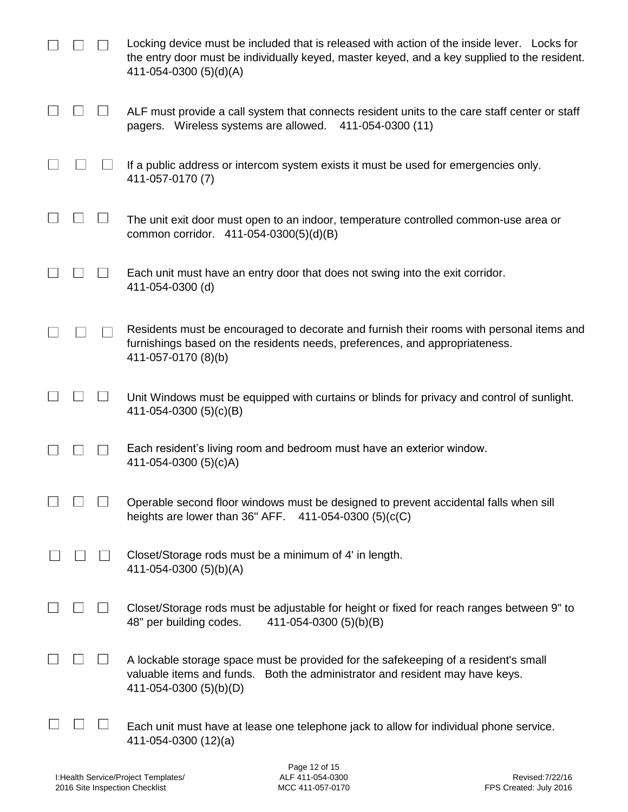|  | Locking device must be included that is released with action of the inside lever. Locks for<br>the entry door must be individually keyed, master keyed, and a key supplied to the resident.<br>411-054-0300 (5)(d)(A) |
|--|-----------------------------------------------------------------------------------------------------------------------------------------------------------------------------------------------------------------------|
|  | ALF must provide a call system that connects resident units to the care staff center or staff<br>pagers. Wireless systems are allowed.<br>411-054-0300 (11)                                                           |
|  | If a public address or intercom system exists it must be used for emergencies only.<br>411-057-0170 (7)                                                                                                               |
|  | The unit exit door must open to an indoor, temperature controlled common-use area or<br>common corridor. 411-054-0300(5)(d)(B)                                                                                        |
|  | Each unit must have an entry door that does not swing into the exit corridor.<br>411-054-0300 (d)                                                                                                                     |
|  | Residents must be encouraged to decorate and furnish their rooms with personal items and<br>furnishings based on the residents needs, preferences, and appropriateness.<br>411-057-0170 (8)(b)                        |
|  | Unit Windows must be equipped with curtains or blinds for privacy and control of sunlight.<br>411-054-0300 (5)(c)(B)                                                                                                  |
|  | Each resident's living room and bedroom must have an exterior window.<br>411-054-0300 (5)(c)A)                                                                                                                        |
|  | Operable second floor windows must be designed to prevent accidental falls when sill<br>heights are lower than $36"$ AFF. 411-054-0300 (5)(c(C)                                                                       |
|  | Closet/Storage rods must be a minimum of 4' in length.<br>411-054-0300 (5)(b)(A)                                                                                                                                      |
|  | Closet/Storage rods must be adjustable for height or fixed for reach ranges between 9" to<br>48" per building codes.<br>411-054-0300 (5)(b)(B)                                                                        |
|  | A lockable storage space must be provided for the safekeeping of a resident's small<br>valuable items and funds. Both the administrator and resident may have keys.<br>411-054-0300 (5)(b)(D)                         |
|  | Each unit must have at lease one telephone jack to allow for individual phone service.<br>411-054-0300 (12)(a)                                                                                                        |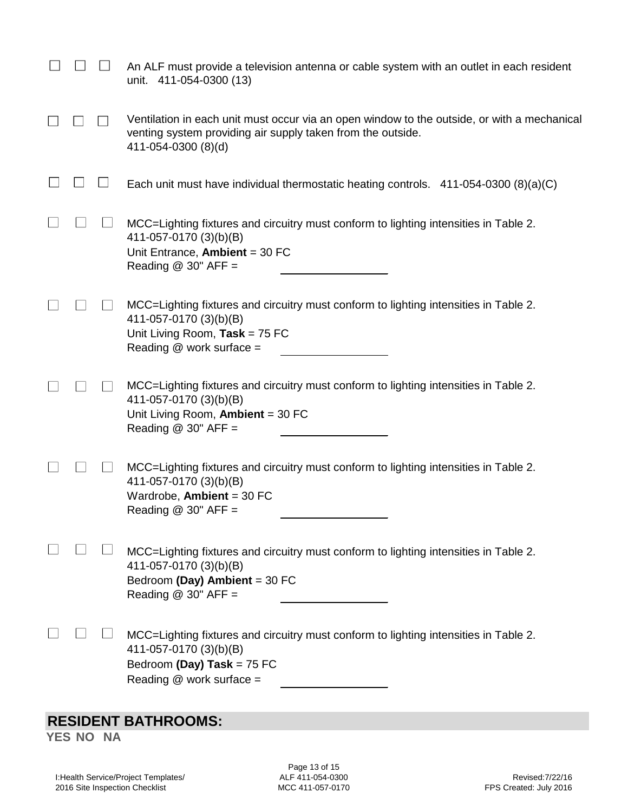|  | An ALF must provide a television antenna or cable system with an outlet in each resident<br>unit. 411-054-0300 (13)                                                               |
|--|-----------------------------------------------------------------------------------------------------------------------------------------------------------------------------------|
|  | Ventilation in each unit must occur via an open window to the outside, or with a mechanical<br>venting system providing air supply taken from the outside.<br>411-054-0300 (8)(d) |
|  | Each unit must have individual thermostatic heating controls. $411-054-0300(8)(a)(C)$                                                                                             |
|  | MCC=Lighting fixtures and circuitry must conform to lighting intensities in Table 2.<br>411-057-0170 (3)(b)(B)<br>Unit Entrance, Ambient = $30$ FC<br>Reading $@30"$ AFF =        |
|  | MCC=Lighting fixtures and circuitry must conform to lighting intensities in Table 2.<br>411-057-0170 (3)(b)(B)<br>Unit Living Room, Task = $75$ FC<br>Reading @ work surface =    |
|  | MCC=Lighting fixtures and circuitry must conform to lighting intensities in Table 2.<br>411-057-0170 (3)(b)(B)<br>Unit Living Room, Ambient = 30 FC<br>Reading $@$ 30" AFF =      |
|  | MCC=Lighting fixtures and circuitry must conform to lighting intensities in Table 2.<br>411-057-0170 (3)(b)(B)<br>Wardrobe, Ambient = $30$ FC<br>Reading $@30"$ AFF =             |
|  | MCC=Lighting fixtures and circuitry must conform to lighting intensities in Table 2.<br>411-057-0170 (3)(b)(B)<br>Bedroom (Day) Ambient = 30 FC<br>Reading $@$ 30" AFF =          |
|  | MCC=Lighting fixtures and circuitry must conform to lighting intensities in Table 2.<br>411-057-0170 (3)(b)(B)<br>Bedroom (Day) Task = 75 FC<br>Reading @ work surface =          |
|  |                                                                                                                                                                                   |

# **RESIDENT BATHROOMS:**

**YES NO NA**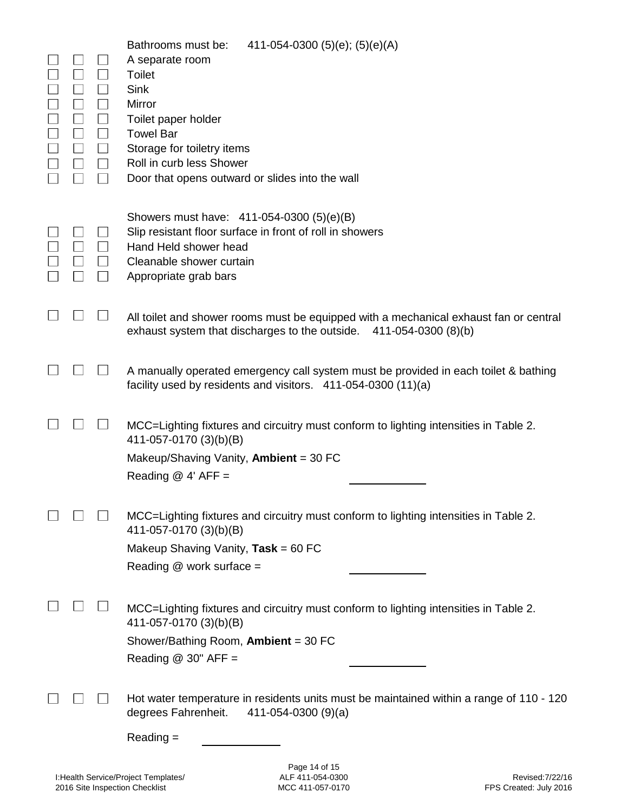| $\Box$<br>$\mathbf{L}$ | Bathrooms must be:<br>411-054-0300 (5)(e); (5)(e)(A)<br>A separate room<br>Toilet<br>Sink<br>Mirror<br>Toilet paper holder<br><b>Towel Bar</b><br>Storage for toiletry items<br>Roll in curb less Shower<br>Door that opens outward or slides into the wall |
|------------------------|-------------------------------------------------------------------------------------------------------------------------------------------------------------------------------------------------------------------------------------------------------------|
|                        | Showers must have: 411-054-0300 (5)(e)(B)<br>Slip resistant floor surface in front of roll in showers<br>Hand Held shower head<br>Cleanable shower curtain<br>Appropriate grab bars                                                                         |
|                        | All toilet and shower rooms must be equipped with a mechanical exhaust fan or central<br>exhaust system that discharges to the outside.<br>411-054-0300 (8)(b)                                                                                              |
|                        | A manually operated emergency call system must be provided in each toilet & bathing<br>facility used by residents and visitors. 411-054-0300 (11)(a)                                                                                                        |
|                        | MCC=Lighting fixtures and circuitry must conform to lighting intensities in Table 2.<br>411-057-0170 (3)(b)(B)<br>Makeup/Shaving Vanity, Ambient = 30 FC<br>Reading $@$ 4' AFF =                                                                            |
|                        | MCC=Lighting fixtures and circuitry must conform to lighting intensities in Table 2.<br>411-057-0170 (3)(b)(B)<br>Makeup Shaving Vanity, $Task = 60$ FC<br>Reading $@$ work surface =                                                                       |
|                        | MCC=Lighting fixtures and circuitry must conform to lighting intensities in Table 2.<br>411-057-0170 (3)(b)(B)<br>Shower/Bathing Room, Ambient = 30 FC<br>Reading $@$ 30" AFF =                                                                             |
|                        | Hot water temperature in residents units must be maintained within a range of 110 - 120<br>degrees Fahrenheit.<br>$411 - 054 - 0300(9)(a)$<br>$Reading =$                                                                                                   |
|                        | Page 14 of 15                                                                                                                                                                                                                                               |